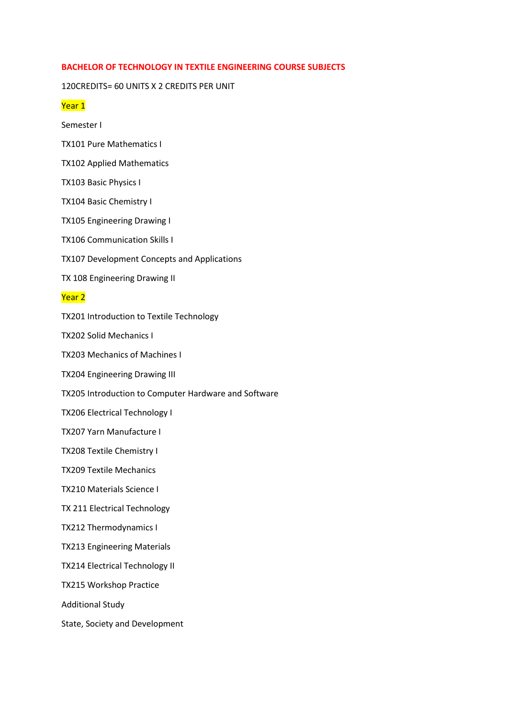# **BACHELOR OF TECHNOLOGY IN TEXTILE ENGINEERING COURSE SUBJECTS**

### 120CREDITS= 60 UNITS X 2 CREDITS PER UNIT

# Year 1

Semester I

- TX101 Pure Mathematics I
- TX102 Applied Mathematics
- TX103 Basic Physics I
- TX104 Basic Chemistry I
- TX105 Engineering Drawing I
- TX106 Communication Skills I
- TX107 Development Concepts and Applications
- TX 108 Engineering Drawing II

# Year 2

TX201 Introduction to Textile Technology

TX202 Solid Mechanics I

TX203 Mechanics of Machines I

TX204 Engineering Drawing III

TX205 Introduction to Computer Hardware and Software

TX206 Electrical Technology I

TX207 Yarn Manufacture I

TX208 Textile Chemistry I

TX209 Textile Mechanics

TX210 Materials Science I

TX 211 Electrical Technology

TX212 Thermodynamics I

TX213 Engineering Materials

TX214 Electrical Technology II

TX215 Workshop Practice

Additional Study

State, Society and Development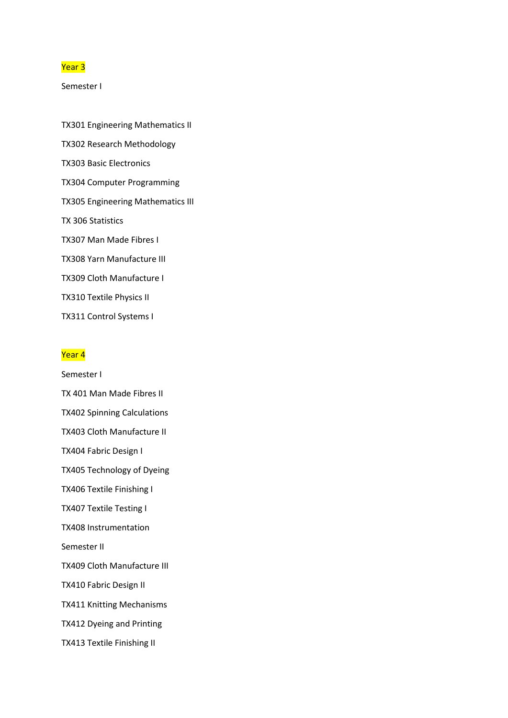## Year 3

Semester I

TX301 Engineering Mathematics II TX302 Research Methodology TX303 Basic Electronics TX304 Computer Programming TX305 Engineering Mathematics III TX 306 Statistics TX307 Man Made Fibres I TX308 Yarn Manufacture III TX309 Cloth Manufacture I TX310 Textile Physics II TX311 Control Systems I

### Year 4

Semester I TX 401 Man Made Fibres II TX402 Spinning Calculations TX403 Cloth Manufacture II TX404 Fabric Design I TX405 Technology of Dyeing TX406 Textile Finishing I TX407 Textile Testing I TX408 Instrumentation Semester II TX409 Cloth Manufacture III TX410 Fabric Design II TX411 Knitting Mechanisms TX412 Dyeing and Printing TX413 Textile Finishing II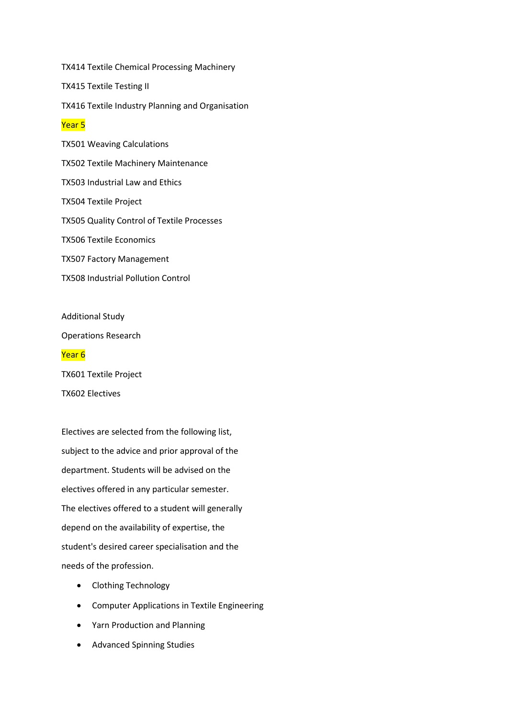TX414 Textile Chemical Processing Machinery TX415 Textile Testing II TX416 Textile Industry Planning and Organisation Year 5 TX501 Weaving Calculations TX502 Textile Machinery Maintenance TX503 Industrial Law and Ethics TX504 Textile Project TX505 Quality Control of Textile Processes TX506 Textile Economics TX507 Factory Management TX508 Industrial Pollution Control

Additional Study Operations Research Year 6 TX601 Textile Project

TX602 Electives

Electives are selected from the following list, subject to the advice and prior approval of the department. Students will be advised on the electives offered in any particular semester. The electives offered to a student will generally depend on the availability of expertise, the student's desired career specialisation and the needs of the profession.

- Clothing Technology
- Computer Applications in Textile Engineering
- Yarn Production and Planning
- Advanced Spinning Studies